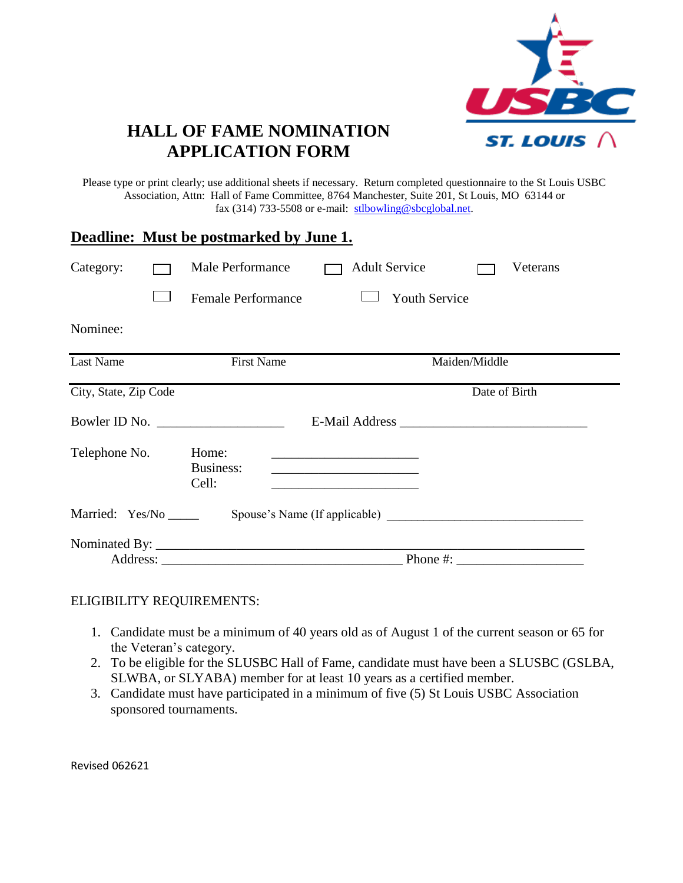

# **HALL OF FAME NOMINATION APPLICATION FORM**

Please type or print clearly; use additional sheets if necessary. Return completed questionnaire to the St Louis USBC Association, Attn: Hall of Fame Committee, 8764 Manchester, Suite 201, St Louis, MO 63144 or fax (314) 733-5508 or e-mail:  $\frac{\text{stbowling@sbcglobal.net}}{\text{stbowling@sbcglobal.net}}$ .

|                        |  | <b>Deadline:</b> Must be postmarked by June 1.                                                                                                                                                                                                                                                         |                      |               |  |
|------------------------|--|--------------------------------------------------------------------------------------------------------------------------------------------------------------------------------------------------------------------------------------------------------------------------------------------------------|----------------------|---------------|--|
| Category:              |  | <b>Male Performance</b>                                                                                                                                                                                                                                                                                | <b>Adult Service</b> | Veterans      |  |
|                        |  | <b>Female Performance</b>                                                                                                                                                                                                                                                                              | <b>Youth Service</b> |               |  |
| Nominee:               |  |                                                                                                                                                                                                                                                                                                        |                      |               |  |
| <b>Last Name</b>       |  | <b>First Name</b>                                                                                                                                                                                                                                                                                      |                      | Maiden/Middle |  |
| City, State, Zip Code  |  |                                                                                                                                                                                                                                                                                                        |                      | Date of Birth |  |
|                        |  |                                                                                                                                                                                                                                                                                                        |                      |               |  |
| Telephone No.          |  | Home:<br>Business:<br>Cell:                                                                                                                                                                                                                                                                            |                      |               |  |
| Married: Yes/No ______ |  |                                                                                                                                                                                                                                                                                                        |                      |               |  |
|                        |  |                                                                                                                                                                                                                                                                                                        |                      |               |  |
|                        |  | Phone #: $\frac{1}{2}$ = $\frac{1}{2}$ = $\frac{1}{2}$ = $\frac{1}{2}$ = $\frac{1}{2}$ = $\frac{1}{2}$ = $\frac{1}{2}$ = $\frac{1}{2}$ = $\frac{1}{2}$ = $\frac{1}{2}$ = $\frac{1}{2}$ = $\frac{1}{2}$ = $\frac{1}{2}$ = $\frac{1}{2}$ = $\frac{1}{2}$ = $\frac{1}{2}$ = $\frac{1}{2}$ = $\frac{1}{2}$ |                      |               |  |

#### ELIGIBILITY REQUIREMENTS:

- 1. Candidate must be a minimum of 40 years old as of August 1 of the current season or 65 for the Veteran's category.
- 2. To be eligible for the SLUSBC Hall of Fame, candidate must have been a SLUSBC (GSLBA, SLWBA, or SLYABA) member for at least 10 years as a certified member.
- 3. Candidate must have participated in a minimum of five (5) St Louis USBC Association sponsored tournaments.

Revised 062621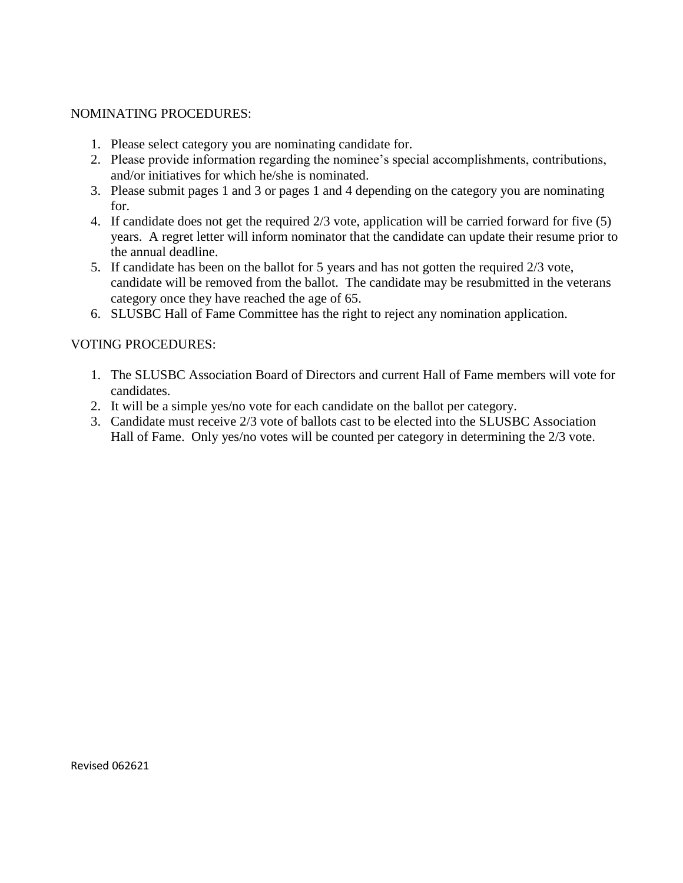#### NOMINATING PROCEDURES:

- 1. Please select category you are nominating candidate for.
- 2. Please provide information regarding the nominee's special accomplishments, contributions, and/or initiatives for which he/she is nominated.
- 3. Please submit pages 1 and 3 or pages 1 and 4 depending on the category you are nominating for.
- 4. If candidate does not get the required 2/3 vote, application will be carried forward for five (5) years. A regret letter will inform nominator that the candidate can update their resume prior to the annual deadline.
- 5. If candidate has been on the ballot for 5 years and has not gotten the required 2/3 vote, candidate will be removed from the ballot. The candidate may be resubmitted in the veterans category once they have reached the age of 65.
- 6. SLUSBC Hall of Fame Committee has the right to reject any nomination application.

#### VOTING PROCEDURES:

- 1. The SLUSBC Association Board of Directors and current Hall of Fame members will vote for candidates.
- 2. It will be a simple yes/no vote for each candidate on the ballot per category.
- 3. Candidate must receive 2/3 vote of ballots cast to be elected into the SLUSBC Association Hall of Fame. Only yes/no votes will be counted per category in determining the 2/3 vote.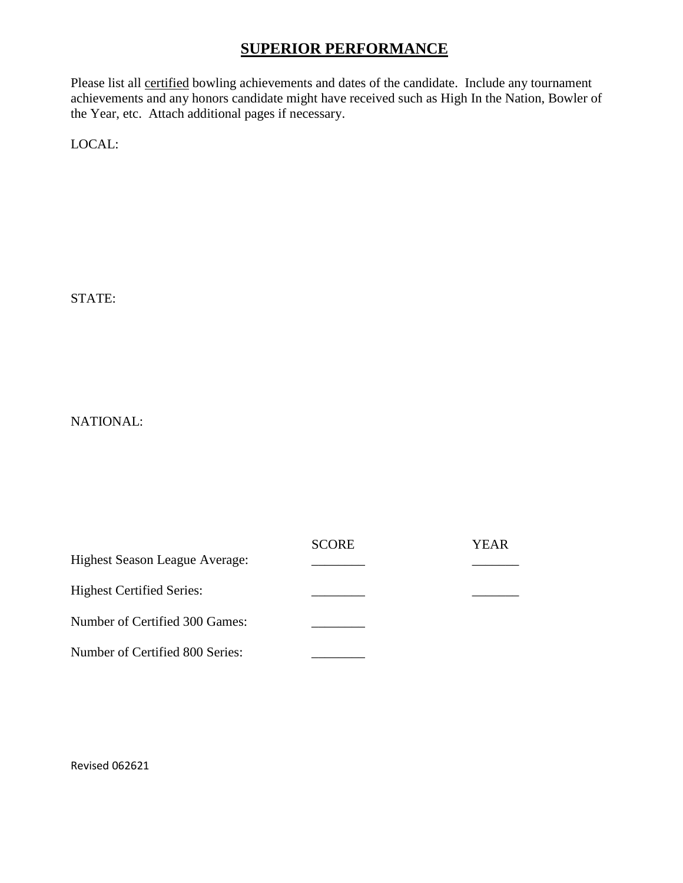### **SUPERIOR PERFORMANCE**

Please list all certified bowling achievements and dates of the candidate. Include any tournament achievements and any honors candidate might have received such as High In the Nation, Bowler of the Year, etc. Attach additional pages if necessary.

LOCAL:

STATE:

NATIONAL:

|                                       | <b>SCORE</b> | YEAR |
|---------------------------------------|--------------|------|
| <b>Highest Season League Average:</b> |              |      |
| <b>Highest Certified Series:</b>      |              |      |
| Number of Certified 300 Games:        |              |      |
| Number of Certified 800 Series:       |              |      |

Revised 062621